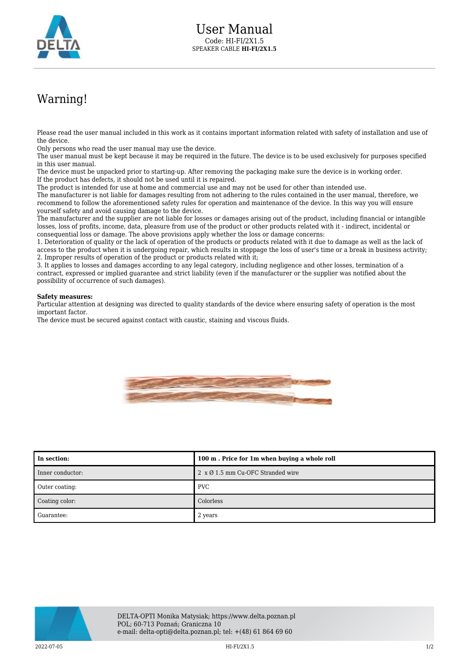

## Warning!

Please read the user manual included in this work as it contains important information related with safety of installation and use of the device.

Only persons who read the user manual may use the device.

The user manual must be kept because it may be required in the future. The device is to be used exclusively for purposes specified in this user manual.

The device must be unpacked prior to starting-up. After removing the packaging make sure the device is in working order. If the product has defects, it should not be used until it is repaired.

The product is intended for use at home and commercial use and may not be used for other than intended use.

The manufacturer is not liable for damages resulting from not adhering to the rules contained in the user manual, therefore, we recommend to follow the aforementioned safety rules for operation and maintenance of the device. In this way you will ensure yourself safety and avoid causing damage to the device.

The manufacturer and the supplier are not liable for losses or damages arising out of the product, including financial or intangible losses, loss of profits, income, data, pleasure from use of the product or other products related with it - indirect, incidental or consequential loss or damage. The above provisions apply whether the loss or damage concerns:

1. Deterioration of quality or the lack of operation of the products or products related with it due to damage as well as the lack of access to the product when it is undergoing repair, which results in stoppage the loss of user's time or a break in business activity; 2. Improper results of operation of the product or products related with it;

3. It applies to losses and damages according to any legal category, including negligence and other losses, termination of a contract, expressed or implied guarantee and strict liability (even if the manufacturer or the supplier was notified about the possibility of occurrence of such damages).

## **Safety measures:**

Particular attention at designing was directed to quality standards of the device where ensuring safety of operation is the most important factor.

The device must be secured against contact with caustic, staining and viscous fluids.



| In section:      | 100 m. Price for 1m when buying a whole roll     |
|------------------|--------------------------------------------------|
| Inner conductor: | $2 \times \emptyset$ 1.5 mm Cu-OFC Stranded wire |
| Outer coating:   | <b>PVC</b>                                       |
| Coating color:   | Colorless                                        |
| Guarantee:       | 2 years                                          |